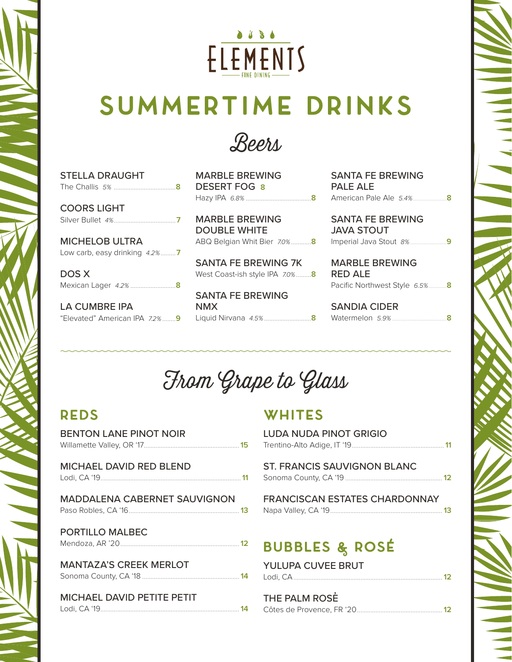

# **Summertime Drinks**



| <b>STELLA DRAUGHT</b> |
|-----------------------|
|                       |
|                       |
| <b>COORS LIGHT</b>    |
| Silver Bullet 4%      |

MICHELOB ULTRA Low carb, easy drinking 4.2%.........**7**

DOS X Mexican Lager 4.2% ...........................**8**

LA CUMBRE IPA

MARBLE BREWING DESERT FOG **8**

MARBLE BREWING DOUBLE WHITE

SANTA FE BREWING 7K West Coast-ish style IPA 7.0%.........**8**

SANTA FE BREWING NMX

Hazy IPA 6.8% .......................................**8** American Pale Ale 5.4%........................**8** SANTA FE BREWING PALE ALE SANTA FE BREWING

ABQ Belgian Whit Bier 7.0%............**8** Imperial Java Stout 8%..........................**9** JAVA STOUT

> MARBLE BREWING RED ALE Pacific Northwest Style 6.5%.............**8**

"Elevated" American IPA 7.2% ........**9** Liquid Nirvana 4.5% ............................**8** Watermelon 5.9% .......................................**8** SANDIA CIDER

### From Grape to Glass

#### **reds**

| <b>BENTON LANE PINOT NOIR</b>       |  |
|-------------------------------------|--|
| MICHAEL DAVID RED BLEND             |  |
| <b>MADDALENA CABERNET SAUVIGNON</b> |  |
| <b>PORTILLO MALBEC</b>              |  |
| <b>MANTAZA'S CREEK MERLOT</b>       |  |
| MICHAEL DAVID PETITE PETIT          |  |

### **whites**

| <b>LUDA NUDA PINOT GRIGIO</b>        |
|--------------------------------------|
| ST. FRANCIS SAUVIGNON BLANC          |
| <b>FRANCISCAN ESTATES CHARDONNAY</b> |
| <b>BUBBLES &amp; ROSÉ</b>            |

YULUPA CUVEE BRUT Lodi, CA.........................................................................................**12**

| THE PALM ROSE |  |
|---------------|--|
|               |  |